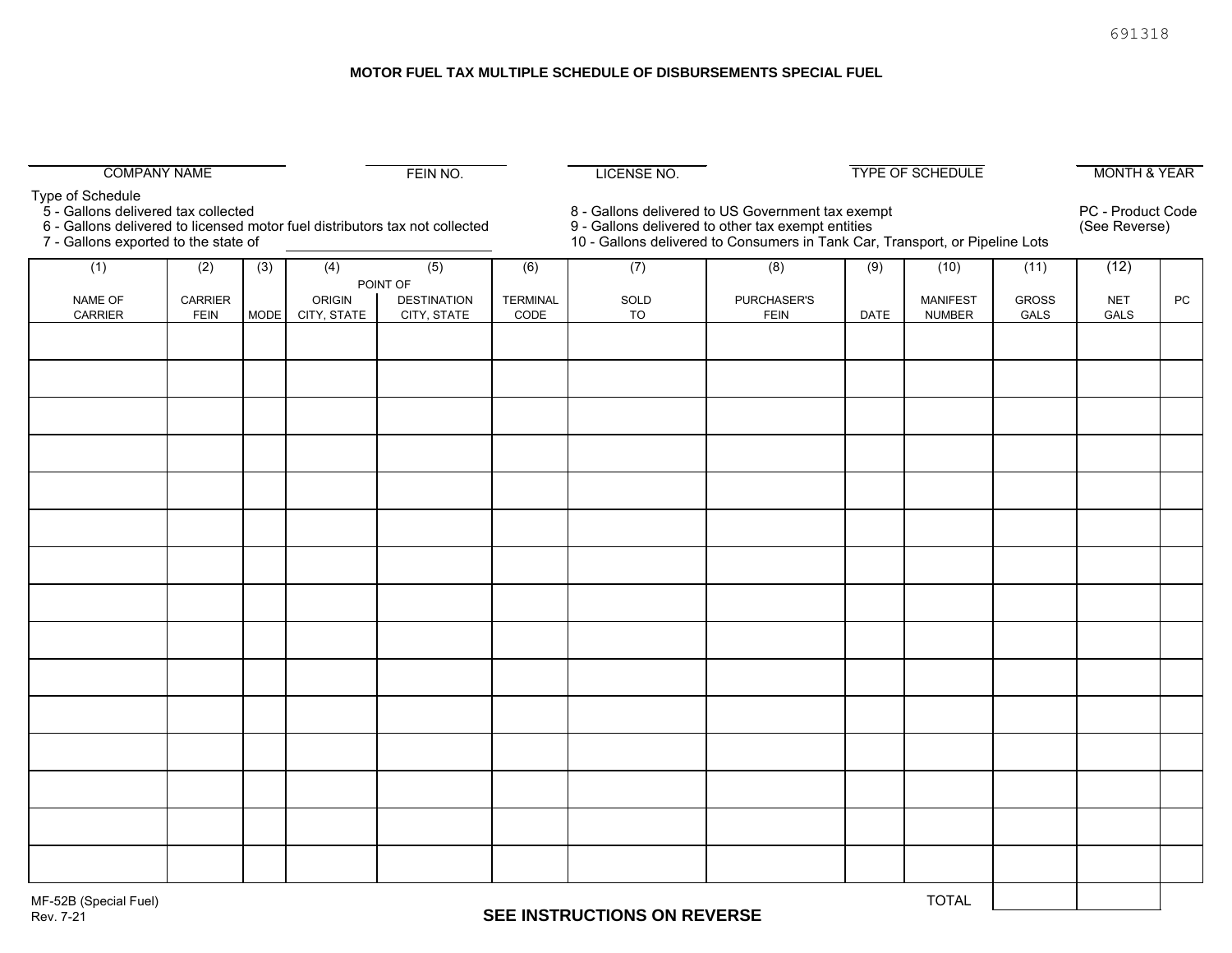#### **MOTOR FUEL TAX MULTIPLE SCHEDULE OF DISBURSEMENTS SPECIAL FUEL**

| <b>COMPANY NAME</b>                                                                                                                                                            |                        |             |               | FEIN NO.           | <b>LICENSE NO.</b>                                                                                                                                                                      |            |                            | <b>TYPE OF SCHEDULE</b> |                                  |                      | <b>MONTH &amp; YEAR</b>            |    |
|--------------------------------------------------------------------------------------------------------------------------------------------------------------------------------|------------------------|-------------|---------------|--------------------|-----------------------------------------------------------------------------------------------------------------------------------------------------------------------------------------|------------|----------------------------|-------------------------|----------------------------------|----------------------|------------------------------------|----|
| Type of Schedule<br>5 - Gallons delivered tax collected<br>6 - Gallons delivered to licensed motor fuel distributors tax not collected<br>7 - Gallons exported to the state of |                        |             |               |                    | 8 - Gallons delivered to US Government tax exempt<br>9 - Gallons delivered to other tax exempt entities<br>10 - Gallons delivered to Consumers in Tank Car, Transport, or Pipeline Lots |            |                            |                         |                                  |                      | PC - Product Code<br>(See Reverse) |    |
| (1)                                                                                                                                                                            | (2)                    | (3)         | (4)           | (5)                | (6)                                                                                                                                                                                     | (7)        | (8)                        | (9)                     | (10)                             | (11)                 | (12)                               |    |
|                                                                                                                                                                                |                        |             |               | POINT OF           |                                                                                                                                                                                         |            |                            |                         |                                  |                      |                                    |    |
| NAME OF<br>CARRIER                                                                                                                                                             | CARRIER<br><b>FEIN</b> | <b>MODE</b> | <b>ORIGIN</b> | <b>DESTINATION</b> | <b>TERMINAL</b><br>CODE                                                                                                                                                                 | SOLD<br>TO | PURCHASER'S<br><b>FEIN</b> | DATE                    | <b>MANIFEST</b><br><b>NUMBER</b> | <b>GROSS</b><br>GALS | <b>NET</b><br>GALS                 | PC |
|                                                                                                                                                                                |                        |             | CITY, STATE   | CITY, STATE        |                                                                                                                                                                                         |            |                            |                         |                                  |                      |                                    |    |
|                                                                                                                                                                                |                        |             |               |                    |                                                                                                                                                                                         |            |                            |                         |                                  |                      |                                    |    |
|                                                                                                                                                                                |                        |             |               |                    |                                                                                                                                                                                         |            |                            |                         |                                  |                      |                                    |    |
|                                                                                                                                                                                |                        |             |               |                    |                                                                                                                                                                                         |            |                            |                         |                                  |                      |                                    |    |
|                                                                                                                                                                                |                        |             |               |                    |                                                                                                                                                                                         |            |                            |                         |                                  |                      |                                    |    |
|                                                                                                                                                                                |                        |             |               |                    |                                                                                                                                                                                         |            |                            |                         |                                  |                      |                                    |    |
|                                                                                                                                                                                |                        |             |               |                    |                                                                                                                                                                                         |            |                            |                         |                                  |                      |                                    |    |
|                                                                                                                                                                                |                        |             |               |                    |                                                                                                                                                                                         |            |                            |                         |                                  |                      |                                    |    |
|                                                                                                                                                                                |                        |             |               |                    |                                                                                                                                                                                         |            |                            |                         |                                  |                      |                                    |    |
|                                                                                                                                                                                |                        |             |               |                    |                                                                                                                                                                                         |            |                            |                         |                                  |                      |                                    |    |
|                                                                                                                                                                                |                        |             |               |                    |                                                                                                                                                                                         |            |                            |                         |                                  |                      |                                    |    |
|                                                                                                                                                                                |                        |             |               |                    |                                                                                                                                                                                         |            |                            |                         |                                  |                      |                                    |    |
|                                                                                                                                                                                |                        |             |               |                    |                                                                                                                                                                                         |            |                            |                         |                                  |                      |                                    |    |
|                                                                                                                                                                                |                        |             |               |                    |                                                                                                                                                                                         |            |                            |                         |                                  |                      |                                    |    |
|                                                                                                                                                                                |                        |             |               |                    |                                                                                                                                                                                         |            |                            |                         |                                  |                      |                                    |    |
|                                                                                                                                                                                |                        |             |               |                    |                                                                                                                                                                                         |            |                            |                         |                                  |                      |                                    |    |
|                                                                                                                                                                                |                        |             |               |                    |                                                                                                                                                                                         |            |                            |                         |                                  |                      |                                    |    |
|                                                                                                                                                                                |                        |             |               |                    |                                                                                                                                                                                         |            |                            |                         |                                  |                      |                                    |    |
|                                                                                                                                                                                |                        |             |               |                    |                                                                                                                                                                                         |            |                            |                         |                                  |                      |                                    |    |
|                                                                                                                                                                                |                        |             |               |                    |                                                                                                                                                                                         |            |                            |                         |                                  |                      |                                    |    |
|                                                                                                                                                                                |                        |             |               |                    |                                                                                                                                                                                         |            |                            |                         |                                  |                      |                                    |    |
|                                                                                                                                                                                |                        |             |               |                    |                                                                                                                                                                                         |            |                            |                         |                                  |                      |                                    |    |
|                                                                                                                                                                                |                        |             |               |                    |                                                                                                                                                                                         |            |                            |                         |                                  |                      |                                    |    |
|                                                                                                                                                                                |                        |             |               |                    |                                                                                                                                                                                         |            |                            |                         |                                  |                      |                                    |    |
|                                                                                                                                                                                |                        |             |               |                    |                                                                                                                                                                                         |            |                            |                         |                                  |                      |                                    |    |
|                                                                                                                                                                                |                        |             |               |                    |                                                                                                                                                                                         |            |                            |                         |                                  |                      |                                    |    |
|                                                                                                                                                                                |                        |             |               |                    |                                                                                                                                                                                         |            |                            |                         |                                  |                      |                                    |    |
|                                                                                                                                                                                |                        |             |               |                    |                                                                                                                                                                                         |            |                            |                         |                                  |                      |                                    |    |
|                                                                                                                                                                                |                        |             |               |                    |                                                                                                                                                                                         |            |                            |                         |                                  |                      |                                    |    |
| MF-52B (Special Fuel)                                                                                                                                                          |                        |             |               |                    |                                                                                                                                                                                         |            |                            |                         | <b>TOTAL</b>                     |                      |                                    |    |